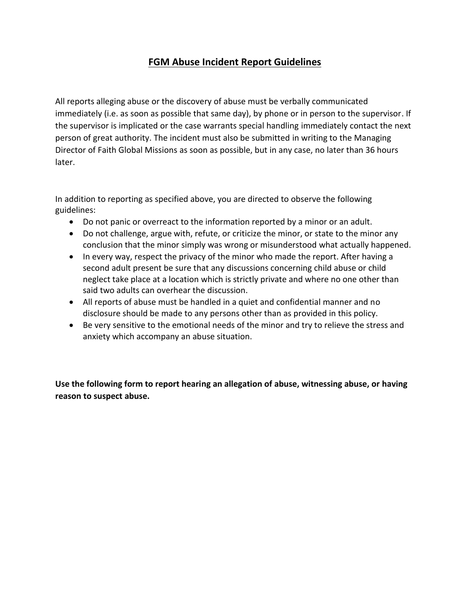## **FGM Abuse Incident Report Guidelines**

All reports alleging abuse or the discovery of abuse must be verbally communicated immediately (i.e. as soon as possible that same day), by phone or in person to the supervisor. If the supervisor is implicated or the case warrants special handling immediately contact the next person of great authority. The incident must also be submitted in writing to the Managing Director of Faith Global Missions as soon as possible, but in any case, no later than 36 hours later.

In addition to reporting as specified above, you are directed to observe the following guidelines:

- Do not panic or overreact to the information reported by a minor or an adult.
- Do not challenge, argue with, refute, or criticize the minor, or state to the minor any conclusion that the minor simply was wrong or misunderstood what actually happened.
- In every way, respect the privacy of the minor who made the report. After having a second adult present be sure that any discussions concerning child abuse or child neglect take place at a location which is strictly private and where no one other than said two adults can overhear the discussion.
- All reports of abuse must be handled in a quiet and confidential manner and no disclosure should be made to any persons other than as provided in this policy.
- Be very sensitive to the emotional needs of the minor and try to relieve the stress and anxiety which accompany an abuse situation.

**Use the following form to report hearing an allegation of abuse, witnessing abuse, or having reason to suspect abuse.**